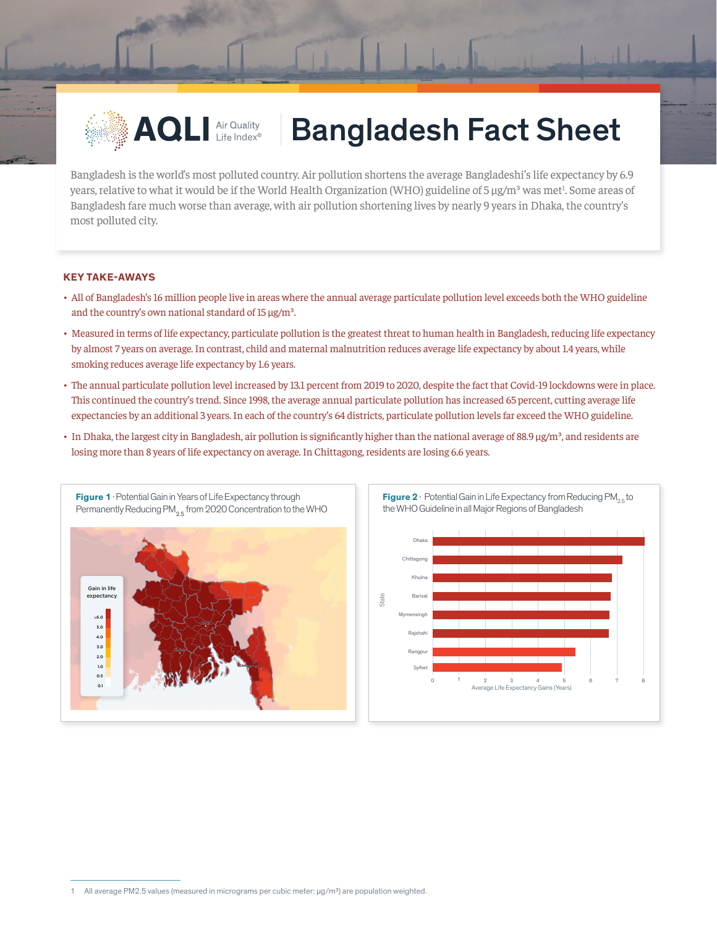

## **AQLI Air Quality Bangladesh Fact Sheet**

Bangladesh is the world's most polluted country. Air pollution shortens the average Bangladeshi's life expectancy by 6.9 years, relative to what it would be if the World Health Organization (WHO) guideline of 5 µg/m<sup>3</sup> was met<sup>1</sup>. Some areas of Bangladesh fare much worse than average, with air pollution shortening lives by nearly 9 years in Dhaka, the country's most polluted city.

## **KEY TAKE-AWAYS**

- All of Bangladesh's 16 million people live in areas where the annual average particulate pollution level exceeds both the WHO guideline and the country's own national standard of  $15 \mu g/m^3$ .
- Measured in terms of life expectancy, particulate pollution is the greatest threat to human health in Bangladesh, reducing life expectancy by almost 7 years on average. In contrast, child and maternal malnutrition reduces average life expectancy by about 1.4 years, while smoking reduces average life expectancy by 1.6 years.
- The annual particulate pollution level increased by 13.1 percent from 2019 to 2020, despite the fact that Covid-19 lockdowns were in place. This continued the country's trend. Since 1998, the average annual particulate pollution has increased 65 percent, cutting average life expectancies by an additional 3 years. In each of the country's 64 districts, particulate pollution levels far exceed the WHO guideline.
- In Dhaka, the largest city in Bangladesh, air pollution is significantly higher than the national average of 88.9 µg/m<sup>3</sup>, and residents are losing more than 8 years of life expectancy on average. In Chittagong, residents are losing 6.6 years.

State





**Figure 2** · Potential Gain in Life Expectancy from Reducing  $PM_{25}$  to



<sup>1</sup> All average PM2.5 values (measured in micrograms per cubic meter:  $\mu q/m<sup>3</sup>$ ) are population weighted.